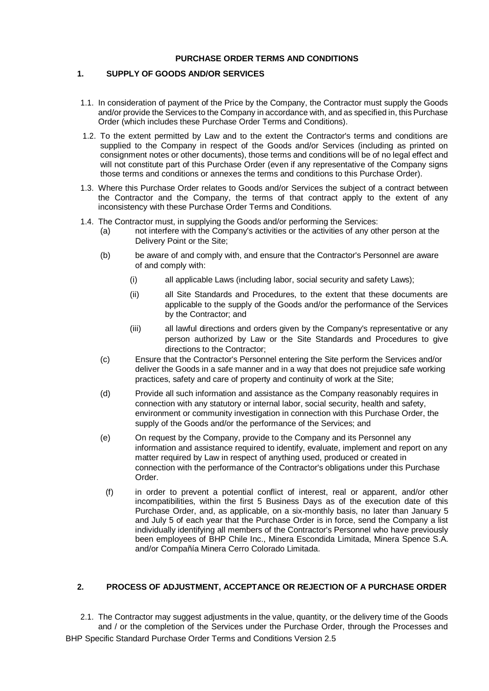# **PURCHASE ORDER TERMS AND CONDITIONS**

# **1. SUPPLY OF GOODS AND/OR SERVICES**

- 1.1. In consideration of payment of the Price by the Company, the Contractor must supply the Goods and/or provide the Services to the Company in accordance with, and as specified in, this Purchase Order (which includes these Purchase Order Terms and Conditions).
- 1.2. To the extent permitted by Law and to the extent the Contractor's terms and conditions are supplied to the Company in respect of the Goods and/or Services (including as printed on consignment notes or other documents), those terms and conditions will be of no legal effect and will not constitute part of this Purchase Order (even if any representative of the Company signs those terms and conditions or annexes the terms and conditions to this Purchase Order).
- 1.3. Where this Purchase Order relates to Goods and/or Services the subject of a contract between the Contractor and the Company, the terms of that contract apply to the extent of any inconsistency with these Purchase Order Terms and Conditions.
- 1.4. The Contractor must, in supplying the Goods and/or performing the Services:
	- (a) not interfere with the Company's activities or the activities of any other person at the Delivery Point or the Site;
	- (b) be aware of and comply with, and ensure that the Contractor's Personnel are aware of and comply with:
		- (i) all applicable Laws (including labor, social security and safety Laws);
		- (ii) all Site Standards and Procedures, to the extent that these documents are applicable to the supply of the Goods and/or the performance of the Services by the Contractor; and
		- (iii) all lawful directions and orders given by the Company's representative or any person authorized by Law or the Site Standards and Procedures to give directions to the Contractor;
	- (c) Ensure that the Contractor's Personnel entering the Site perform the Services and/or deliver the Goods in a safe manner and in a way that does not prejudice safe working practices, safety and care of property and continuity of work at the Site;
	- (d) Provide all such information and assistance as the Company reasonably requires in connection with any statutory or internal labor, social security, health and safety, environment or community investigation in connection with this Purchase Order, the supply of the Goods and/or the performance of the Services; and
	- (e) On request by the Company, provide to the Company and its Personnel any information and assistance required to identify, evaluate, implement and report on any matter required by Law in respect of anything used, produced or created in connection with the performance of the Contractor's obligations under this Purchase Order.
		- (f) in order to prevent a potential conflict of interest, real or apparent, and/or other incompatibilities, within the first 5 Business Days as of the execution date of this Purchase Order, and, as applicable, on a six-monthly basis, no later than January 5 and July 5 of each year that the Purchase Order is in force, send the Company a list individually identifying all members of the Contractor's Personnel who have previously been employees of BHP Chile Inc., Minera Escondida Limitada, Minera Spence S.A. and/or Compañía Minera Cerro Colorado Limitada.

# **2. PROCESS OF ADJUSTMENT, ACCEPTANCE OR REJECTION OF A PURCHASE ORDER**

BHP Specific Standard Purchase Order Terms and Conditions Version 2.5 2.1. The Contractor may suggest adjustments in the value, quantity, or the delivery time of the Goods and / or the completion of the Services under the Purchase Order, through the Processes and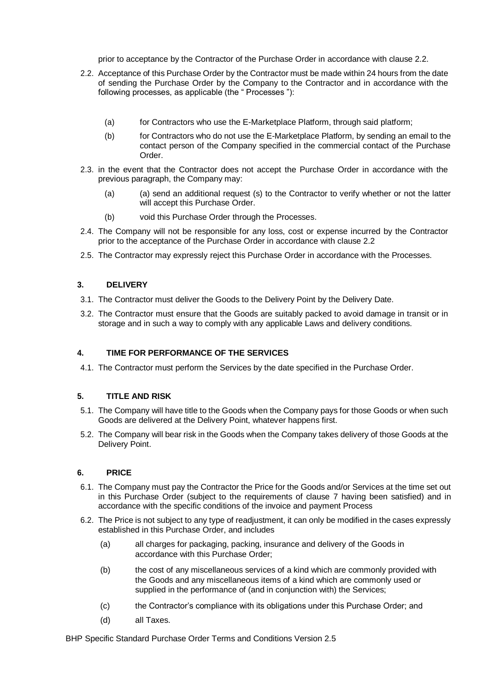prior to acceptance by the Contractor of the Purchase Order in accordance with clause 2.2.

- 2.2. Acceptance of this Purchase Order by the Contractor must be made within 24 hours from the date of sending the Purchase Order by the Company to the Contractor and in accordance with the following processes, as applicable (the " Processes "):
	- (a) for Contractors who use the E-Marketplace Platform, through said platform;
	- (b) for Contractors who do not use the E-Marketplace Platform, by sending an email to the contact person of the Company specified in the commercial contact of the Purchase Order.
- 2.3. in the event that the Contractor does not accept the Purchase Order in accordance with the previous paragraph, the Company may:
	- (a) (a) send an additional request (s) to the Contractor to verify whether or not the latter will accept this Purchase Order.
	- (b) void this Purchase Order through the Processes.
- 2.4. The Company will not be responsible for any loss, cost or expense incurred by the Contractor prior to the acceptance of the Purchase Order in accordance with clause 2.2
- 2.5. The Contractor may expressly reject this Purchase Order in accordance with the Processes.

# **3. DELIVERY**

- 3.1. The Contractor must deliver the Goods to the Delivery Point by the Delivery Date.
- 3.2. The Contractor must ensure that the Goods are suitably packed to avoid damage in transit or in storage and in such a way to comply with any applicable Laws and delivery conditions.

## **4. TIME FOR PERFORMANCE OF THE SERVICES**

4.1. The Contractor must perform the Services by the date specified in the Purchase Order.

## **5. TITLE AND RISK**

- 5.1. The Company will have title to the Goods when the Company pays for those Goods or when such Goods are delivered at the Delivery Point, whatever happens first.
- 5.2. The Company will bear risk in the Goods when the Company takes delivery of those Goods at the Delivery Point.

## **6. PRICE**

- 6.1. The Company must pay the Contractor the Price for the Goods and/or Services at the time set out in this Purchase Order (subject to the requirements of clause 7 having been satisfied) and in accordance with the specific conditions of the invoice and payment Process
- 6.2. The Price is not subject to any type of readjustment, it can only be modified in the cases expressly established in this Purchase Order, and includes
	- (a) all charges for packaging, packing, insurance and delivery of the Goods in accordance with this Purchase Order;
	- (b) the cost of any miscellaneous services of a kind which are commonly provided with the Goods and any miscellaneous items of a kind which are commonly used or supplied in the performance of (and in conjunction with) the Services;
	- (c) the Contractor's compliance with its obligations under this Purchase Order; and
	- (d) all Taxes.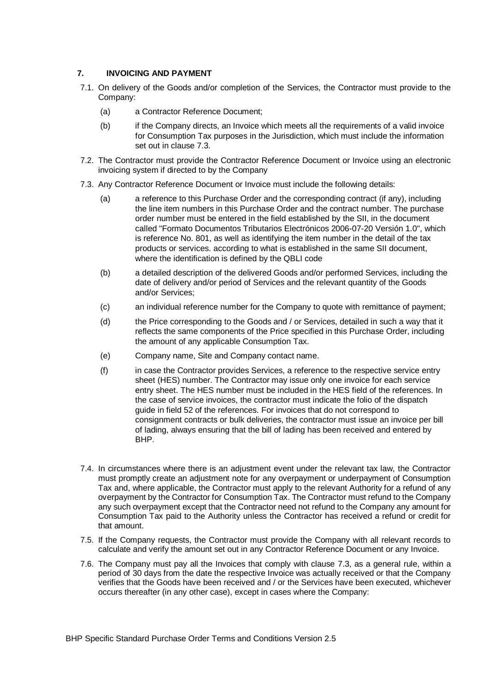# **7. INVOICING AND PAYMENT**

- 7.1. On delivery of the Goods and/or completion of the Services, the Contractor must provide to the Company:
	- (a) a Contractor Reference Document;
	- (b) if the Company directs, an Invoice which meets all the requirements of a valid invoice for Consumption Tax purposes in the Jurisdiction, which must include the information set out in clause 7.3.
- 7.2. The Contractor must provide the Contractor Reference Document or Invoice using an electronic invoicing system if directed to by the Company
- 7.3. Any Contractor Reference Document or Invoice must include the following details:
	- (a) a reference to this Purchase Order and the corresponding contract (if any), including the line item numbers in this Purchase Order and the contract number. The purchase order number must be entered in the field established by the SII, in the document called "Formato Documentos Tributarios Electrónicos 2006-07-20 Versión 1.0", which is reference No. 801, as well as identifying the item number in the detail of the tax products or services. according to what is established in the same SII document, where the identification is defined by the QBLI code
	- (b) a detailed description of the delivered Goods and/or performed Services, including the date of delivery and/or period of Services and the relevant quantity of the Goods and/or Services;
	- (c) an individual reference number for the Company to quote with remittance of payment;
	- (d) the Price corresponding to the Goods and / or Services, detailed in such a way that it reflects the same components of the Price specified in this Purchase Order, including the amount of any applicable Consumption Tax.
	- (e) Company name, Site and Company contact name.
	- (f) in case the Contractor provides Services, a reference to the respective service entry sheet (HES) number. The Contractor may issue only one invoice for each service entry sheet. The HES number must be included in the HES field of the references. In the case of service invoices, the contractor must indicate the folio of the dispatch guide in field 52 of the references. For invoices that do not correspond to consignment contracts or bulk deliveries, the contractor must issue an invoice per bill of lading, always ensuring that the bill of lading has been received and entered by BHP.
- 7.4. In circumstances where there is an adjustment event under the relevant tax law, the Contractor must promptly create an adjustment note for any overpayment or underpayment of Consumption Tax and, where applicable, the Contractor must apply to the relevant Authority for a refund of any overpayment by the Contractor for Consumption Tax. The Contractor must refund to the Company any such overpayment except that the Contractor need not refund to the Company any amount for Consumption Tax paid to the Authority unless the Contractor has received a refund or credit for that amount.
- 7.5. If the Company requests, the Contractor must provide the Company with all relevant records to calculate and verify the amount set out in any Contractor Reference Document or any Invoice.
- 7.6. The Company must pay all the Invoices that comply with clause 7.3, as a general rule, within a period of 30 days from the date the respective Invoice was actually received or that the Company verifies that the Goods have been received and / or the Services have been executed, whichever occurs thereafter (in any other case), except in cases where the Company: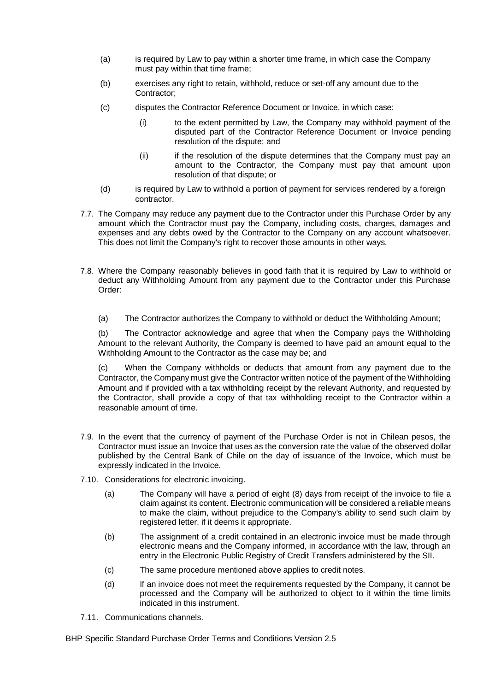- (a) is required by Law to pay within a shorter time frame, in which case the Company must pay within that time frame;
- (b) exercises any right to retain, withhold, reduce or set-off any amount due to the Contractor;
- (c) disputes the Contractor Reference Document or Invoice, in which case:
	- (i) to the extent permitted by Law, the Company may withhold payment of the disputed part of the Contractor Reference Document or Invoice pending resolution of the dispute; and
	- (ii) if the resolution of the dispute determines that the Company must pay an amount to the Contractor, the Company must pay that amount upon resolution of that dispute; or
- (d) is required by Law to withhold a portion of payment for services rendered by a foreign contractor.
- 7.7. The Company may reduce any payment due to the Contractor under this Purchase Order by any amount which the Contractor must pay the Company, including costs, charges, damages and expenses and any debts owed by the Contractor to the Company on any account whatsoever. This does not limit the Company's right to recover those amounts in other ways.
- 7.8. Where the Company reasonably believes in good faith that it is required by Law to withhold or deduct any Withholding Amount from any payment due to the Contractor under this Purchase Order:

(a) The Contractor authorizes the Company to withhold or deduct the Withholding Amount;

(b) The Contractor acknowledge and agree that when the Company pays the Withholding Amount to the relevant Authority, the Company is deemed to have paid an amount equal to the Withholding Amount to the Contractor as the case may be; and

(c) When the Company withholds or deducts that amount from any payment due to the Contractor, the Company must give the Contractor written notice of the payment of the Withholding Amount and if provided with a tax withholding receipt by the relevant Authority, and requested by the Contractor, shall provide a copy of that tax withholding receipt to the Contractor within a reasonable amount of time.

- 7.9. In the event that the currency of payment of the Purchase Order is not in Chilean pesos, the Contractor must issue an Invoice that uses as the conversion rate the value of the observed dollar published by the Central Bank of Chile on the day of issuance of the Invoice, which must be expressly indicated in the Invoice.
- 7.10. Considerations for electronic invoicing.
	- (a) The Company will have a period of eight (8) days from receipt of the invoice to file a claim against its content. Electronic communication will be considered a reliable means to make the claim, without prejudice to the Company's ability to send such claim by registered letter, if it deems it appropriate.
	- (b) The assignment of a credit contained in an electronic invoice must be made through electronic means and the Company informed, in accordance with the law, through an entry in the Electronic Public Registry of Credit Transfers administered by the SII.
	- (c) The same procedure mentioned above applies to credit notes.
	- (d) If an invoice does not meet the requirements requested by the Company, it cannot be processed and the Company will be authorized to object to it within the time limits indicated in this instrument.
- 7.11. Communications channels.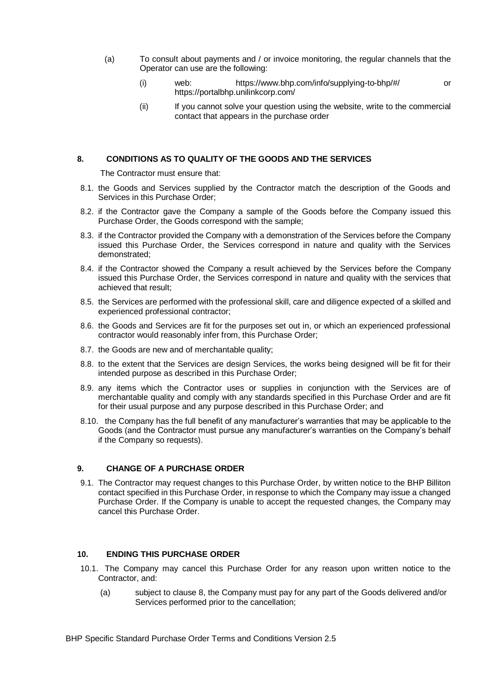- (a) To consult about payments and / or invoice monitoring, the regular channels that the Operator can use are the following:
	- (i) web: https://www.bhp.com/info/supplying-to-bhp/#/ or https://portalbhp.unilinkcorp.com/
	- (ii) If you cannot solve your question using the website, write to the commercial contact that appears in the purchase order

#### **8. CONDITIONS AS TO QUALITY OF THE GOODS AND THE SERVICES**

The Contractor must ensure that:

- 8.1. the Goods and Services supplied by the Contractor match the description of the Goods and Services in this Purchase Order;
- 8.2. if the Contractor gave the Company a sample of the Goods before the Company issued this Purchase Order, the Goods correspond with the sample;
- 8.3. if the Contractor provided the Company with a demonstration of the Services before the Company issued this Purchase Order, the Services correspond in nature and quality with the Services demonstrated;
- 8.4. if the Contractor showed the Company a result achieved by the Services before the Company issued this Purchase Order, the Services correspond in nature and quality with the services that achieved that result;
- 8.5. the Services are performed with the professional skill, care and diligence expected of a skilled and experienced professional contractor;
- 8.6. the Goods and Services are fit for the purposes set out in, or which an experienced professional contractor would reasonably infer from, this Purchase Order;
- 8.7. the Goods are new and of merchantable quality;
- 8.8. to the extent that the Services are design Services, the works being designed will be fit for their intended purpose as described in this Purchase Order;
- 8.9. any items which the Contractor uses or supplies in conjunction with the Services are of merchantable quality and comply with any standards specified in this Purchase Order and are fit for their usual purpose and any purpose described in this Purchase Order; and
- 8.10. the Company has the full benefit of any manufacturer's warranties that may be applicable to the Goods (and the Contractor must pursue any manufacturer's warranties on the Company's behalf if the Company so requests).

#### **9. CHANGE OF A PURCHASE ORDER**

9.1. The Contractor may request changes to this Purchase Order, by written notice to the BHP Billiton contact specified in this Purchase Order, in response to which the Company may issue a changed Purchase Order. If the Company is unable to accept the requested changes, the Company may cancel this Purchase Order.

#### **10. ENDING THIS PURCHASE ORDER**

- 10.1. The Company may cancel this Purchase Order for any reason upon written notice to the Contractor, and:
	- (a) subject to clause 8, the Company must pay for any part of the Goods delivered and/or Services performed prior to the cancellation;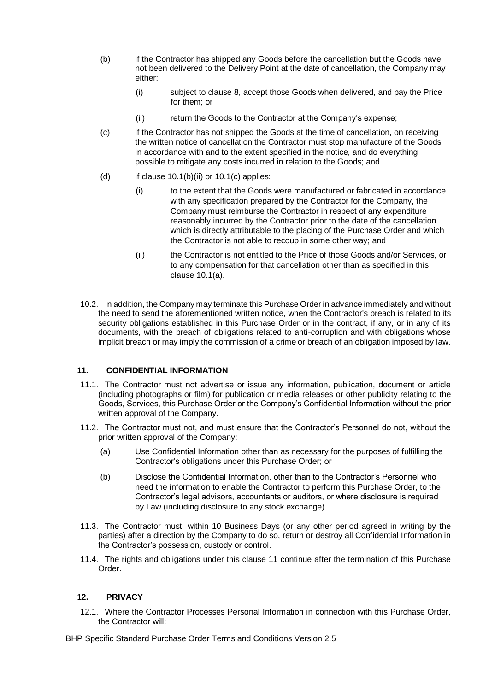- (b) if the Contractor has shipped any Goods before the cancellation but the Goods have not been delivered to the Delivery Point at the date of cancellation, the Company may either:
	- (i) subject to clause 8, accept those Goods when delivered, and pay the Price for them; or
	- (ii) return the Goods to the Contractor at the Company's expense;
- (c) if the Contractor has not shipped the Goods at the time of cancellation, on receiving the written notice of cancellation the Contractor must stop manufacture of the Goods in accordance with and to the extent specified in the notice, and do everything possible to mitigate any costs incurred in relation to the Goods; and
- (d) if clause  $10.1(b)(ii)$  or  $10.1(c)$  applies:
	- (i) to the extent that the Goods were manufactured or fabricated in accordance with any specification prepared by the Contractor for the Company, the Company must reimburse the Contractor in respect of any expenditure reasonably incurred by the Contractor prior to the date of the cancellation which is directly attributable to the placing of the Purchase Order and which the Contractor is not able to recoup in some other way; and
	- (ii) the Contractor is not entitled to the Price of those Goods and/or Services, or to any compensation for that cancellation other than as specified in this clause 10.1(a).
- 10.2. In addition, the Company may terminate this Purchase Order in advance immediately and without the need to send the aforementioned written notice, when the Contractor's breach is related to its security obligations established in this Purchase Order or in the contract, if any, or in any of its documents, with the breach of obligations related to anti-corruption and with obligations whose implicit breach or may imply the commission of a crime or breach of an obligation imposed by law.

## **11. CONFIDENTIAL INFORMATION**

- 11.1. The Contractor must not advertise or issue any information, publication, document or article (including photographs or film) for publication or media releases or other publicity relating to the Goods, Services, this Purchase Order or the Company's Confidential Information without the prior written approval of the Company.
- 11.2. The Contractor must not, and must ensure that the Contractor's Personnel do not, without the prior written approval of the Company:
	- (a) Use Confidential Information other than as necessary for the purposes of fulfilling the Contractor's obligations under this Purchase Order; or
	- (b) Disclose the Confidential Information, other than to the Contractor's Personnel who need the information to enable the Contractor to perform this Purchase Order, to the Contractor's legal advisors, accountants or auditors, or where disclosure is required by Law (including disclosure to any stock exchange).
- 11.3. The Contractor must, within 10 Business Days (or any other period agreed in writing by the parties) after a direction by the Company to do so, return or destroy all Confidential Information in the Contractor's possession, custody or control.
- 11.4. The rights and obligations under this clause 11 continue after the termination of this Purchase Order.

#### **12. PRIVACY**

12.1. Where the Contractor Processes Personal Information in connection with this Purchase Order, the Contractor will: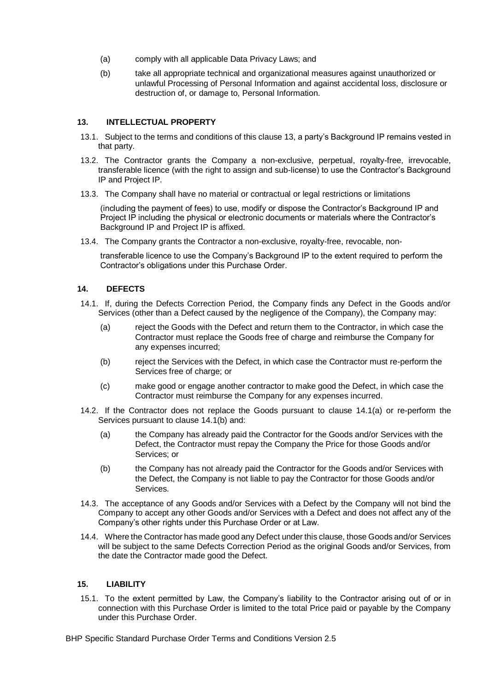- (a) comply with all applicable Data Privacy Laws; and
- (b) take all appropriate technical and organizational measures against unauthorized or unlawful Processing of Personal Information and against accidental loss, disclosure or destruction of, or damage to, Personal Information.

## **13. INTELLECTUAL PROPERTY**

- 13.1. Subject to the terms and conditions of this clause 13, a party's Background IP remains vested in that party.
- 13.2. The Contractor grants the Company a non-exclusive, perpetual, royalty-free, irrevocable, transferable licence (with the right to assign and sub-license) to use the Contractor's Background IP and Project IP.
- 13.3. The Company shall have no material or contractual or legal restrictions or limitations

(including the payment of fees) to use, modify or dispose the Contractor's Background IP and Project IP including the physical or electronic documents or materials where the Contractor's Background IP and Project IP is affixed.

13.4. The Company grants the Contractor a non-exclusive, royalty-free, revocable, non-

transferable licence to use the Company's Background IP to the extent required to perform the Contractor's obligations under this Purchase Order.

## **14. DEFECTS**

- 14.1. If, during the Defects Correction Period, the Company finds any Defect in the Goods and/or Services (other than a Defect caused by the negligence of the Company), the Company may:
	- (a) reject the Goods with the Defect and return them to the Contractor, in which case the Contractor must replace the Goods free of charge and reimburse the Company for any expenses incurred;
	- (b) reject the Services with the Defect, in which case the Contractor must re-perform the Services free of charge; or
	- (c) make good or engage another contractor to make good the Defect, in which case the Contractor must reimburse the Company for any expenses incurred.
- 14.2. If the Contractor does not replace the Goods pursuant to clause 14.1(a) or re-perform the Services pursuant to clause 14.1(b) and:
	- (a) the Company has already paid the Contractor for the Goods and/or Services with the Defect, the Contractor must repay the Company the Price for those Goods and/or Services; or
	- (b) the Company has not already paid the Contractor for the Goods and/or Services with the Defect, the Company is not liable to pay the Contractor for those Goods and/or Services.
- 14.3. The acceptance of any Goods and/or Services with a Defect by the Company will not bind the Company to accept any other Goods and/or Services with a Defect and does not affect any of the Company's other rights under this Purchase Order or at Law.
- 14.4. Where the Contractor has made good any Defect under this clause, those Goods and/or Services will be subject to the same Defects Correction Period as the original Goods and/or Services, from the date the Contractor made good the Defect.

## **15. LIABILITY**

15.1. To the extent permitted by Law, the Company's liability to the Contractor arising out of or in connection with this Purchase Order is limited to the total Price paid or payable by the Company under this Purchase Order.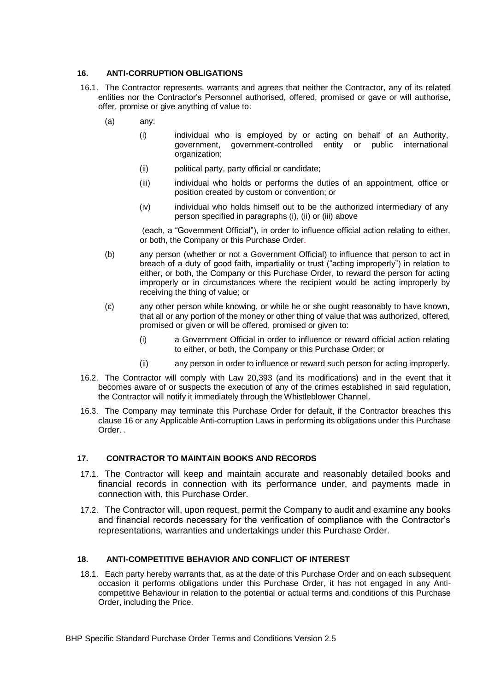# **16. ANTI-CORRUPTION OBLIGATIONS**

- 16.1. The Contractor represents, warrants and agrees that neither the Contractor, any of its related entities nor the Contractor's Personnel authorised, offered, promised or gave or will authorise, offer, promise or give anything of value to:
	- (a) any:
		- (i) individual who is employed by or acting on behalf of an Authority, government, government-controlled entity or public international organization;
		- (ii) political party, party official or candidate;
		- (iii) individual who holds or performs the duties of an appointment, office or position created by custom or convention; or
		- (iv) individual who holds himself out to be the authorized intermediary of any person specified in paragraphs (i), (ii) or (iii) above

(each, a "Government Official"), in order to influence official action relating to either, or both, the Company or this Purchase Order.

- (b) any person (whether or not a Government Official) to influence that person to act in breach of a duty of good faith, impartiality or trust ("acting improperly") in relation to either, or both, the Company or this Purchase Order, to reward the person for acting improperly or in circumstances where the recipient would be acting improperly by receiving the thing of value; or
- (c) any other person while knowing, or while he or she ought reasonably to have known, that all or any portion of the money or other thing of value that was authorized, offered, promised or given or will be offered, promised or given to:
	- (i) a Government Official in order to influence or reward official action relating to either, or both, the Company or this Purchase Order; or
	- (ii) any person in order to influence or reward such person for acting improperly.
- 16.2. The Contractor will comply with Law 20,393 (and its modifications) and in the event that it becomes aware of or suspects the execution of any of the crimes established in said regulation, the Contractor will notify it immediately through the Whistleblower Channel.
- 16.3. The Company may terminate this Purchase Order for default, if the Contractor breaches this clause 16 or any Applicable Anti-corruption Laws in performing its obligations under this Purchase Order. .

# **17. CONTRACTOR TO MAINTAIN BOOKS AND RECORDS**

- 17.1. The Contractor will keep and maintain accurate and reasonably detailed books and financial records in connection with its performance under, and payments made in connection with, this Purchase Order.
- 17.2. The Contractor will, upon request, permit the Company to audit and examine any books and financial records necessary for the verification of compliance with the Contractor's representations, warranties and undertakings under this Purchase Order.

## **18. ANTI-COMPETITIVE BEHAVIOR AND CONFLICT OF INTEREST**

18.1. Each party hereby warrants that, as at the date of this Purchase Order and on each subsequent occasion it performs obligations under this Purchase Order, it has not engaged in any Anticompetitive Behaviour in relation to the potential or actual terms and conditions of this Purchase Order, including the Price.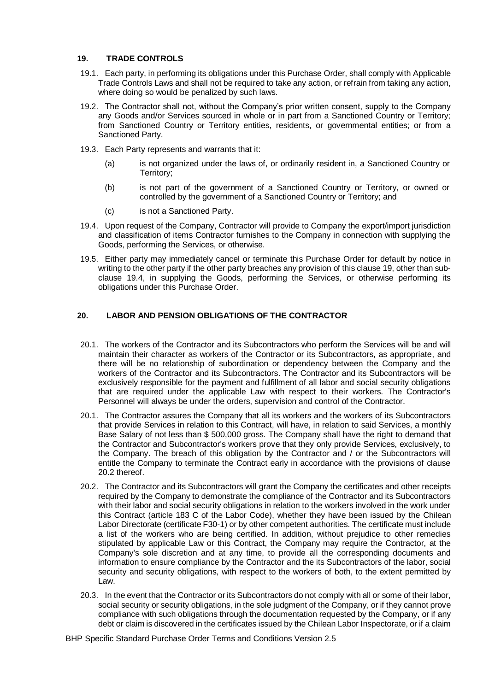## **19. TRADE CONTROLS**

- 19.1. Each party, in performing its obligations under this Purchase Order, shall comply with Applicable Trade Controls Laws and shall not be required to take any action, or refrain from taking any action, where doing so would be penalized by such laws.
- 19.2. The Contractor shall not, without the Company's prior written consent, supply to the Company any Goods and/or Services sourced in whole or in part from a Sanctioned Country or Territory; from Sanctioned Country or Territory entities, residents, or governmental entities; or from a Sanctioned Party.
- 19.3. Each Party represents and warrants that it:
	- (a) is not organized under the laws of, or ordinarily resident in, a Sanctioned Country or Territory;
	- (b) is not part of the government of a Sanctioned Country or Territory, or owned or controlled by the government of a Sanctioned Country or Territory; and
	- (c) is not a Sanctioned Party.
- 19.4. Upon request of the Company, Contractor will provide to Company the export/import jurisdiction and classification of items Contractor furnishes to the Company in connection with supplying the Goods, performing the Services, or otherwise.
- 19.5. Either party may immediately cancel or terminate this Purchase Order for default by notice in writing to the other party if the other party breaches any provision of this clause 19, other than subclause 19.4, in supplying the Goods, performing the Services, or otherwise performing its obligations under this Purchase Order.

# **20. LABOR AND PENSION OBLIGATIONS OF THE CONTRACTOR**

- 20.1. The workers of the Contractor and its Subcontractors who perform the Services will be and will maintain their character as workers of the Contractor or its Subcontractors, as appropriate, and there will be no relationship of subordination or dependency between the Company and the workers of the Contractor and its Subcontractors. The Contractor and its Subcontractors will be exclusively responsible for the payment and fulfillment of all labor and social security obligations that are required under the applicable Law with respect to their workers. The Contractor's Personnel will always be under the orders, supervision and control of the Contractor.
- 20.1. The Contractor assures the Company that all its workers and the workers of its Subcontractors that provide Services in relation to this Contract, will have, in relation to said Services, a monthly Base Salary of not less than \$ 500,000 gross. The Company shall have the right to demand that the Contractor and Subcontractor's workers prove that they only provide Services, exclusively, to the Company. The breach of this obligation by the Contractor and / or the Subcontractors will entitle the Company to terminate the Contract early in accordance with the provisions of clause 20.2 thereof.
- 20.2. The Contractor and its Subcontractors will grant the Company the certificates and other receipts required by the Company to demonstrate the compliance of the Contractor and its Subcontractors with their labor and social security obligations in relation to the workers involved in the work under this Contract (article 183 C of the Labor Code), whether they have been issued by the Chilean Labor Directorate (certificate F30-1) or by other competent authorities. The certificate must include a list of the workers who are being certified. In addition, without prejudice to other remedies stipulated by applicable Law or this Contract, the Company may require the Contractor, at the Company's sole discretion and at any time, to provide all the corresponding documents and information to ensure compliance by the Contractor and the its Subcontractors of the labor, social security and security obligations, with respect to the workers of both, to the extent permitted by Law.
- 20.3. In the event that the Contractor or its Subcontractors do not comply with all or some of their labor, social security or security obligations, in the sole judgment of the Company, or if they cannot prove compliance with such obligations through the documentation requested by the Company, or if any debt or claim is discovered in the certificates issued by the Chilean Labor Inspectorate, or if a claim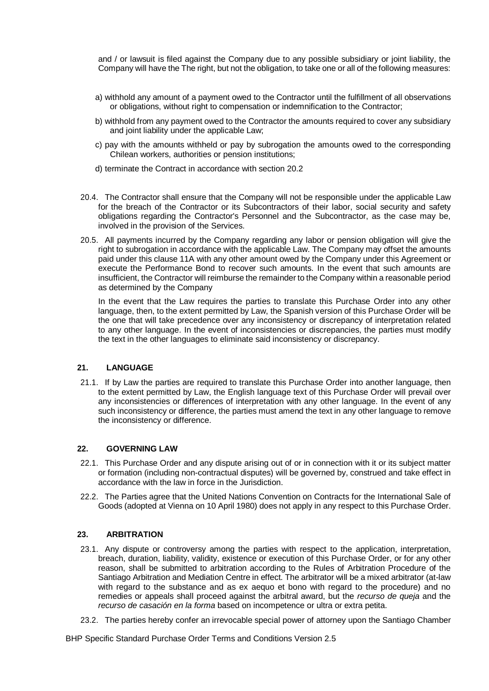and / or lawsuit is filed against the Company due to any possible subsidiary or joint liability, the Company will have the The right, but not the obligation, to take one or all of the following measures:

- a) withhold any amount of a payment owed to the Contractor until the fulfillment of all observations or obligations, without right to compensation or indemnification to the Contractor;
- b) withhold from any payment owed to the Contractor the amounts required to cover any subsidiary and joint liability under the applicable Law;
- c) pay with the amounts withheld or pay by subrogation the amounts owed to the corresponding Chilean workers, authorities or pension institutions;
- d) terminate the Contract in accordance with section 20.2
- 20.4. The Contractor shall ensure that the Company will not be responsible under the applicable Law for the breach of the Contractor or its Subcontractors of their labor, social security and safety obligations regarding the Contractor's Personnel and the Subcontractor, as the case may be, involved in the provision of the Services.
- 20.5. All payments incurred by the Company regarding any labor or pension obligation will give the right to subrogation in accordance with the applicable Law. The Company may offset the amounts paid under this clause 11A with any other amount owed by the Company under this Agreement or execute the Performance Bond to recover such amounts. In the event that such amounts are insufficient, the Contractor will reimburse the remainder to the Company within a reasonable period as determined by the Company

In the event that the Law requires the parties to translate this Purchase Order into any other language, then, to the extent permitted by Law, the Spanish version of this Purchase Order will be the one that will take precedence over any inconsistency or discrepancy of interpretation related to any other language. In the event of inconsistencies or discrepancies, the parties must modify the text in the other languages to eliminate said inconsistency or discrepancy.

## **21. LANGUAGE**

21.1. If by Law the parties are required to translate this Purchase Order into another language, then to the extent permitted by Law, the English language text of this Purchase Order will prevail over any inconsistencies or differences of interpretation with any other language. In the event of any such inconsistency or difference, the parties must amend the text in any other language to remove the inconsistency or difference.

## **22. GOVERNING LAW**

- 22.1. This Purchase Order and any dispute arising out of or in connection with it or its subject matter or formation (including non-contractual disputes) will be governed by, construed and take effect in accordance with the law in force in the Jurisdiction.
- 22.2. The Parties agree that the United Nations Convention on Contracts for the International Sale of Goods (adopted at Vienna on 10 April 1980) does not apply in any respect to this Purchase Order.

## **23. ARBITRATION**

- 23.1. Any dispute or controversy among the parties with respect to the application, interpretation, breach, duration, liability, validity, existence or execution of this Purchase Order, or for any other reason, shall be submitted to arbitration according to the Rules of Arbitration Procedure of the Santiago Arbitration and Mediation Centre in effect. The arbitrator will be a mixed arbitrator (at-law with regard to the substance and as ex aequo et bono with regard to the procedure) and no remedies or appeals shall proceed against the arbitral award, but the *recurso de queja* and the *recurso de casación en la forma* based on incompetence or ultra or extra petita.
- 23.2. The parties hereby confer an irrevocable special power of attorney upon the Santiago Chamber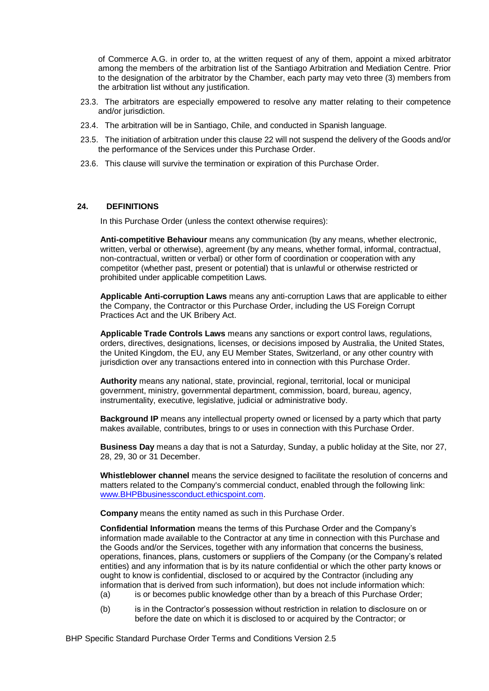of Commerce A.G. in order to, at the written request of any of them, appoint a mixed arbitrator among the members of the arbitration list of the Santiago Arbitration and Mediation Centre. Prior to the designation of the arbitrator by the Chamber, each party may veto three (3) members from the arbitration list without any justification.

- 23.3. The arbitrators are especially empowered to resolve any matter relating to their competence and/or jurisdiction.
- 23.4. The arbitration will be in Santiago, Chile, and conducted in Spanish language.
- 23.5. The initiation of arbitration under this clause 22 will not suspend the delivery of the Goods and/or the performance of the Services under this Purchase Order.
- 23.6. This clause will survive the termination or expiration of this Purchase Order.

#### **24. DEFINITIONS**

In this Purchase Order (unless the context otherwise requires):

**Anti-competitive Behaviour** means any communication (by any means, whether electronic, written, verbal or otherwise), agreement (by any means, whether formal, informal, contractual, non-contractual, written or verbal) or other form of coordination or cooperation with any competitor (whether past, present or potential) that is unlawful or otherwise restricted or prohibited under applicable competition Laws.

**Applicable Anti-corruption Laws** means any anti-corruption Laws that are applicable to either the Company, the Contractor or this Purchase Order, including the US Foreign Corrupt Practices Act and the UK Bribery Act.

**Applicable Trade Controls Laws** means any sanctions or export control laws, regulations, orders, directives, designations, licenses, or decisions imposed by Australia, the United States, the United Kingdom, the EU, any EU Member States, Switzerland, or any other country with jurisdiction over any transactions entered into in connection with this Purchase Order.

**Authority** means any national, state, provincial, regional, territorial, local or municipal government, ministry, governmental department, commission, board, bureau, agency, instrumentality, executive, legislative, judicial or administrative body.

**Background IP** means any intellectual property owned or licensed by a party which that party makes available, contributes, brings to or uses in connection with this Purchase Order.

**Business Day** means a day that is not a Saturday, Sunday, a public holiday at the Site, nor 27, 28, 29, 30 or 31 December.

**Whistleblower channel** means the service designed to facilitate the resolution of concerns and matters related to the Company's commercial conduct, enabled through the following link: [www.BHPBbusinessconduct.ethicspoint.com.](http://www.bhpbbusinessconduct.ethicspoint.com/)

**Company** means the entity named as such in this Purchase Order.

**Confidential Information** means the terms of this Purchase Order and the Company's information made available to the Contractor at any time in connection with this Purchase and the Goods and/or the Services, together with any information that concerns the business, operations, finances, plans, customers or suppliers of the Company (or the Company's related entities) and any information that is by its nature confidential or which the other party knows or ought to know is confidential, disclosed to or acquired by the Contractor (including any information that is derived from such information), but does not include information which:

- (a) is or becomes public knowledge other than by a breach of this Purchase Order;
- (b) is in the Contractor's possession without restriction in relation to disclosure on or before the date on which it is disclosed to or acquired by the Contractor; or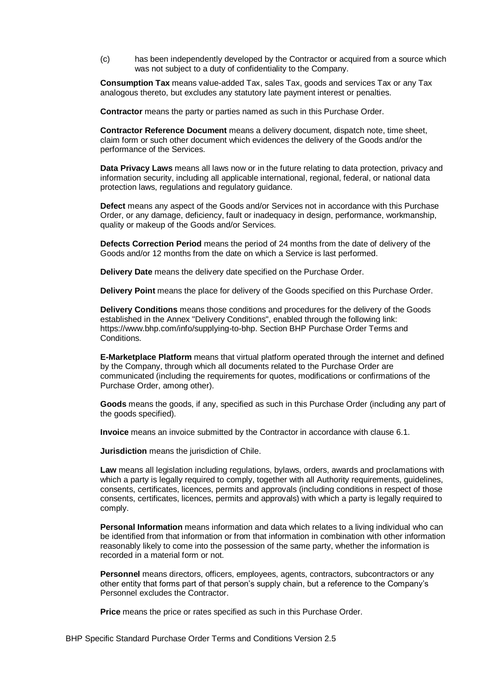(c) has been independently developed by the Contractor or acquired from a source which was not subject to a duty of confidentiality to the Company.

**Consumption Tax** means value-added Tax, sales Tax, goods and services Tax or any Tax analogous thereto, but excludes any statutory late payment interest or penalties.

**Contractor** means the party or parties named as such in this Purchase Order.

**Contractor Reference Document** means a delivery document, dispatch note, time sheet, claim form or such other document which evidences the delivery of the Goods and/or the performance of the Services.

**Data Privacy Laws** means all laws now or in the future relating to data protection, privacy and information security, including all applicable international, regional, federal, or national data protection laws, regulations and regulatory guidance.

**Defect** means any aspect of the Goods and/or Services not in accordance with this Purchase Order, or any damage, deficiency, fault or inadequacy in design, performance, workmanship, quality or makeup of the Goods and/or Services.

**Defects Correction Period** means the period of 24 months from the date of delivery of the Goods and/or 12 months from the date on which a Service is last performed.

**Delivery Date** means the delivery date specified on the Purchase Order.

**Delivery Point** means the place for delivery of the Goods specified on this Purchase Order.

**Delivery Conditions** means those conditions and procedures for the delivery of the Goods established in the Annex "Delivery Conditions", enabled through the following link: https://www.bhp.com/info/supplying-to-bhp. Section BHP Purchase Order Terms and Conditions.

**E-Marketplace Platform** means that virtual platform operated through the internet and defined by the Company, through which all documents related to the Purchase Order are communicated (including the requirements for quotes, modifications or confirmations of the Purchase Order, among other).

**Goods** means the goods, if any, specified as such in this Purchase Order (including any part of the goods specified).

**Invoice** means an invoice submitted by the Contractor in accordance with clause 6.1.

**Jurisdiction** means the jurisdiction of Chile.

**Law** means all legislation including regulations, bylaws, orders, awards and proclamations with which a party is legally required to comply, together with all Authority requirements, guidelines, consents, certificates, licences, permits and approvals (including conditions in respect of those consents, certificates, licences, permits and approvals) with which a party is legally required to comply.

**Personal Information** means information and data which relates to a living individual who can be identified from that information or from that information in combination with other information reasonably likely to come into the possession of the same party, whether the information is recorded in a material form or not.

**Personnel** means directors, officers, employees, agents, contractors, subcontractors or any other entity that forms part of that person's supply chain, but a reference to the Company's Personnel excludes the Contractor.

**Price** means the price or rates specified as such in this Purchase Order.